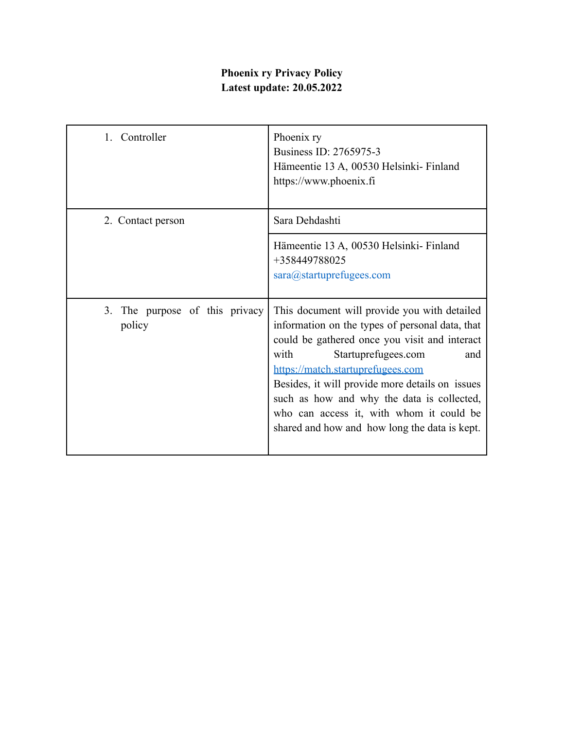## **Phoenix ry Privacy Policy Latest update: 20.05.2022**

| 1. Controller                               | Phoenix ry<br>Business ID: 2765975-3<br>Hämeentie 13 A, 00530 Helsinki-Finland<br>https://www.phoenix.fi                                                                                                                                                                                                                                                                                                                  |
|---------------------------------------------|---------------------------------------------------------------------------------------------------------------------------------------------------------------------------------------------------------------------------------------------------------------------------------------------------------------------------------------------------------------------------------------------------------------------------|
| 2. Contact person                           | Sara Dehdashti                                                                                                                                                                                                                                                                                                                                                                                                            |
|                                             | Hämeentie 13 A, 00530 Helsinki-Finland<br>+358449788025<br>sara@startuprefugees.com                                                                                                                                                                                                                                                                                                                                       |
| The purpose of this privacy<br>3.<br>policy | This document will provide you with detailed<br>information on the types of personal data, that<br>could be gathered once you visit and interact<br>with<br>Startuprefugees.com<br>and<br>https://match.startuprefugees.com<br>Besides, it will provide more details on issues<br>such as how and why the data is collected,<br>who can access it, with whom it could be<br>shared and how and how long the data is kept. |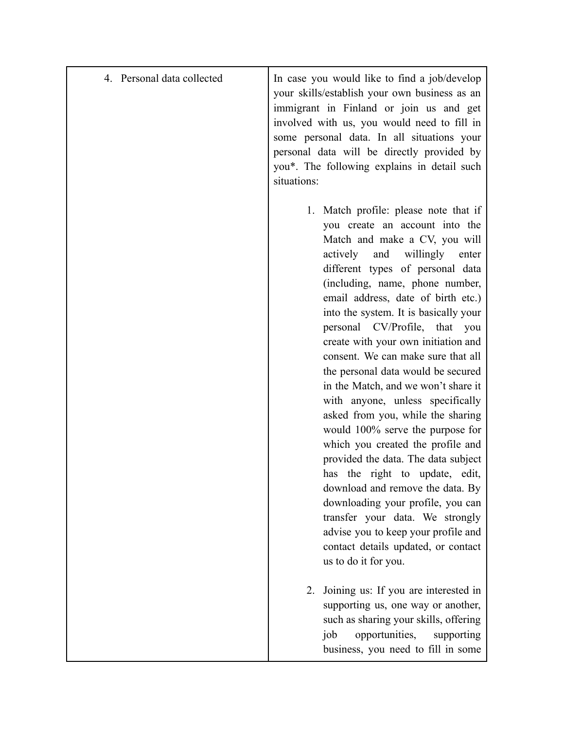| 4. Personal data collected | In case you would like to find a job/develop<br>your skills/establish your own business as an<br>immigrant in Finland or join us and get<br>involved with us, you would need to fill in<br>some personal data. In all situations your<br>personal data will be directly provided by<br>you*. The following explains in detail such<br>situations:                                                                                                                                                                                                                                                                                                                                                                                                                                                                                                                                                                                               |
|----------------------------|-------------------------------------------------------------------------------------------------------------------------------------------------------------------------------------------------------------------------------------------------------------------------------------------------------------------------------------------------------------------------------------------------------------------------------------------------------------------------------------------------------------------------------------------------------------------------------------------------------------------------------------------------------------------------------------------------------------------------------------------------------------------------------------------------------------------------------------------------------------------------------------------------------------------------------------------------|
|                            | 1. Match profile: please note that if<br>you create an account into the<br>Match and make a CV, you will<br>actively<br>and<br>willingly<br>enter<br>different types of personal data<br>(including, name, phone number,<br>email address, date of birth etc.)<br>into the system. It is basically your<br>personal CV/Profile, that you<br>create with your own initiation and<br>consent. We can make sure that all<br>the personal data would be secured<br>in the Match, and we won't share it<br>with anyone, unless specifically<br>asked from you, while the sharing<br>would 100% serve the purpose for<br>which you created the profile and<br>provided the data. The data subject<br>has the right to update, edit,<br>download and remove the data. By<br>downloading your profile, you can<br>transfer your data. We strongly<br>advise you to keep your profile and<br>contact details updated, or contact<br>us to do it for you. |
|                            | Joining us: If you are interested in<br>2.<br>supporting us, one way or another,<br>such as sharing your skills, offering<br>opportunities,<br>job<br>supporting<br>business, you need to fill in some                                                                                                                                                                                                                                                                                                                                                                                                                                                                                                                                                                                                                                                                                                                                          |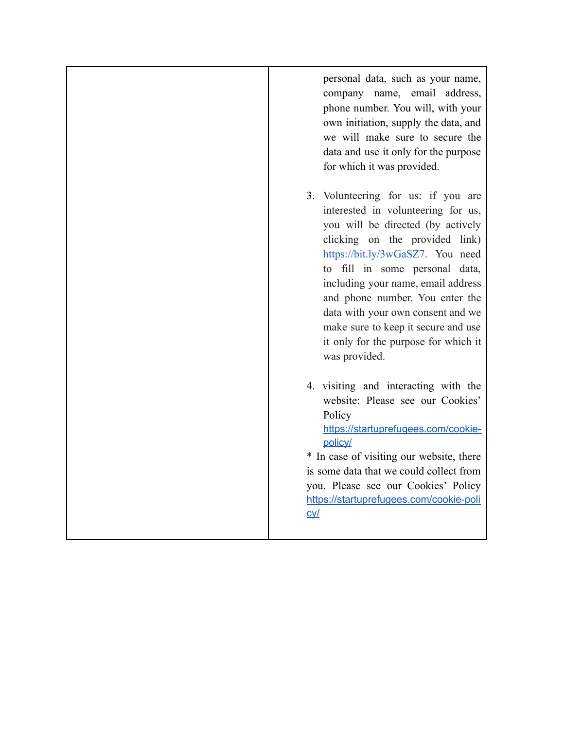personal data, such as your name, company name, email address, phone number. You will, with your own initiation, supply the data, and we will make sure to secure the data and use it only for the purpose for which it was provided.

- 3. Volunteering for us: if you are interested in volunteering for us, you will be directed (by actively clicking on the provided link) <https://bit.ly/3wGaSZ7>. You need to fill in some personal data, including your name, email address and phone number. You enter the data with your own consent and we make sure to keep it secure and use it only for the purpose for which it was provided.
- 4. visiting and interacting with the website: Please see our Cookies' **Policy** [https://startuprefugees.com/cookie-](https://startuprefugees.com/cookie-policy/)

[policy/](https://startuprefugees.com/cookie-policy/) \* In case of visiting our website, there is some data that we could collect from you. Please see our Cookies' Policy [https://startuprefugees.com/cookie-poli](https://startuprefugees.com/cookie-policy/) [cy/](https://startuprefugees.com/cookie-policy/)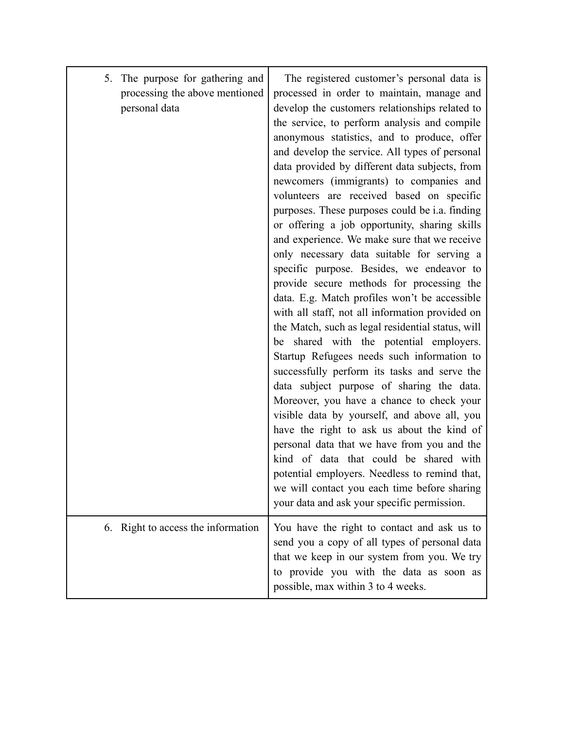| 5. The purpose for gathering and<br>processing the above mentioned<br>personal data | The registered customer's personal data is<br>processed in order to maintain, manage and<br>develop the customers relationships related to<br>the service, to perform analysis and compile<br>anonymous statistics, and to produce, offer<br>and develop the service. All types of personal<br>data provided by different data subjects, from<br>newcomers (immigrants) to companies and<br>volunteers are received based on specific<br>purposes. These purposes could be <i>i.a.</i> finding<br>or offering a job opportunity, sharing skills<br>and experience. We make sure that we receive<br>only necessary data suitable for serving a<br>specific purpose. Besides, we endeavor to<br>provide secure methods for processing the<br>data. E.g. Match profiles won't be accessible<br>with all staff, not all information provided on<br>the Match, such as legal residential status, will<br>be shared with the potential employers.<br>Startup Refugees needs such information to<br>successfully perform its tasks and serve the<br>data subject purpose of sharing the data.<br>Moreover, you have a chance to check your<br>visible data by yourself, and above all, you<br>have the right to ask us about the kind of<br>personal data that we have from you and the<br>kind of data that could be shared with<br>potential employers. Needless to remind that,<br>we will contact you each time before sharing<br>your data and ask your specific permission. |
|-------------------------------------------------------------------------------------|----------------------------------------------------------------------------------------------------------------------------------------------------------------------------------------------------------------------------------------------------------------------------------------------------------------------------------------------------------------------------------------------------------------------------------------------------------------------------------------------------------------------------------------------------------------------------------------------------------------------------------------------------------------------------------------------------------------------------------------------------------------------------------------------------------------------------------------------------------------------------------------------------------------------------------------------------------------------------------------------------------------------------------------------------------------------------------------------------------------------------------------------------------------------------------------------------------------------------------------------------------------------------------------------------------------------------------------------------------------------------------------------------------------------------------------------------------------------------|
| 6. Right to access the information                                                  | You have the right to contact and ask us to<br>send you a copy of all types of personal data<br>that we keep in our system from you. We try<br>to provide you with the data as soon as<br>possible, max within 3 to 4 weeks.                                                                                                                                                                                                                                                                                                                                                                                                                                                                                                                                                                                                                                                                                                                                                                                                                                                                                                                                                                                                                                                                                                                                                                                                                                               |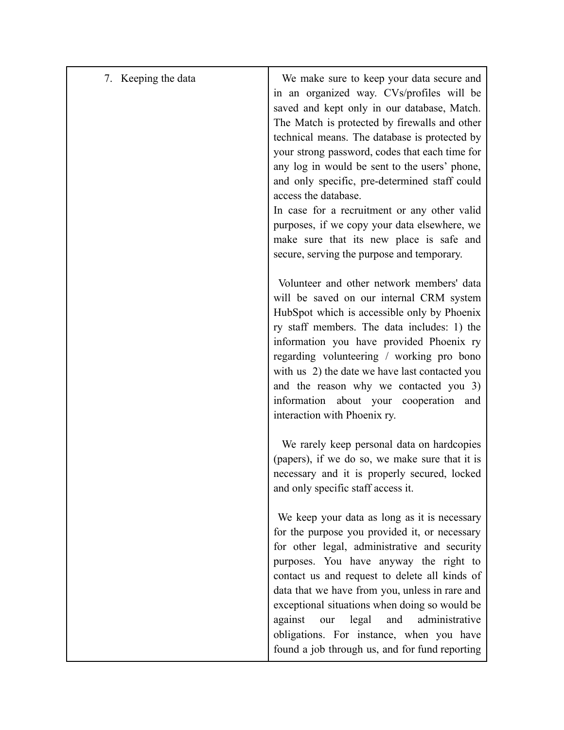| 7. Keeping the data | We make sure to keep your data secure and<br>in an organized way. CVs/profiles will be<br>saved and kept only in our database, Match.<br>The Match is protected by firewalls and other<br>technical means. The database is protected by<br>your strong password, codes that each time for<br>any log in would be sent to the users' phone,<br>and only specific, pre-determined staff could<br>access the database.<br>In case for a recruitment or any other valid<br>purposes, if we copy your data elsewhere, we<br>make sure that its new place is safe and<br>secure, serving the purpose and temporary. |
|---------------------|---------------------------------------------------------------------------------------------------------------------------------------------------------------------------------------------------------------------------------------------------------------------------------------------------------------------------------------------------------------------------------------------------------------------------------------------------------------------------------------------------------------------------------------------------------------------------------------------------------------|
|                     | Volunteer and other network members' data<br>will be saved on our internal CRM system<br>HubSpot which is accessible only by Phoenix<br>ry staff members. The data includes: 1) the<br>information you have provided Phoenix ry<br>regarding volunteering / working pro bono<br>with us 2) the date we have last contacted you<br>and the reason why we contacted you 3)<br>information about your cooperation and<br>interaction with Phoenix ry.                                                                                                                                                            |
|                     | We rarely keep personal data on hardcopies<br>(papers), if we do so, we make sure that it is<br>necessary and it is properly secured, locked<br>and only specific staff access it.                                                                                                                                                                                                                                                                                                                                                                                                                            |
|                     | We keep your data as long as it is necessary<br>for the purpose you provided it, or necessary<br>for other legal, administrative and security<br>purposes. You have anyway the right to<br>contact us and request to delete all kinds of<br>data that we have from you, unless in rare and<br>exceptional situations when doing so would be<br>against<br>legal<br>and<br>administrative<br>our<br>obligations. For instance, when you have<br>found a job through us, and for fund reporting                                                                                                                 |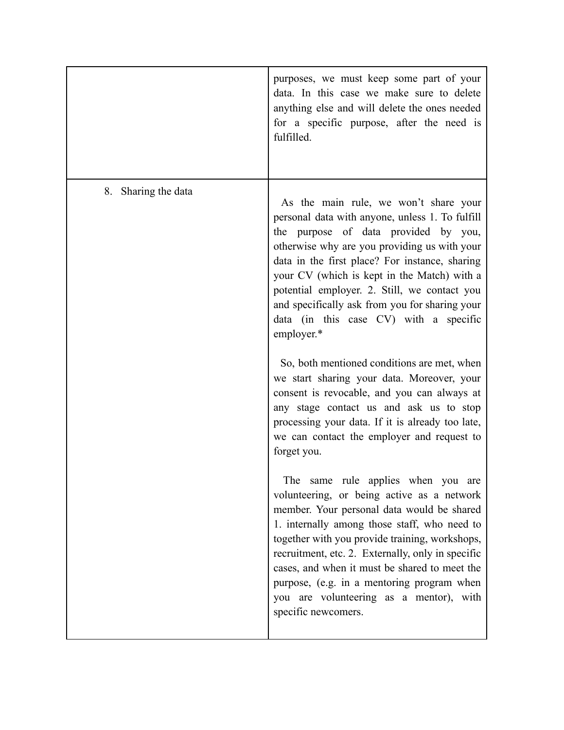|                     | purposes, we must keep some part of your<br>data. In this case we make sure to delete<br>anything else and will delete the ones needed<br>for a specific purpose, after the need is<br>fulfilled.                                                                                                                                                                                                                                                         |
|---------------------|-----------------------------------------------------------------------------------------------------------------------------------------------------------------------------------------------------------------------------------------------------------------------------------------------------------------------------------------------------------------------------------------------------------------------------------------------------------|
| 8. Sharing the data |                                                                                                                                                                                                                                                                                                                                                                                                                                                           |
|                     | As the main rule, we won't share your<br>personal data with anyone, unless 1. To fulfill<br>the purpose of data provided by you,<br>otherwise why are you providing us with your<br>data in the first place? For instance, sharing<br>your CV (which is kept in the Match) with a<br>potential employer. 2. Still, we contact you<br>and specifically ask from you for sharing your<br>data (in this case CV) with a specific<br>employer.*               |
|                     | So, both mentioned conditions are met, when<br>we start sharing your data. Moreover, your<br>consent is revocable, and you can always at<br>any stage contact us and ask us to stop<br>processing your data. If it is already too late,<br>we can contact the employer and request to<br>forget you.                                                                                                                                                      |
|                     | same rule applies when you are<br>The<br>volunteering, or being active as a network<br>member. Your personal data would be shared<br>1. internally among those staff, who need to<br>together with you provide training, workshops,<br>recruitment, etc. 2. Externally, only in specific<br>cases, and when it must be shared to meet the<br>purpose, (e.g. in a mentoring program when<br>you are volunteering as a mentor), with<br>specific newcomers. |